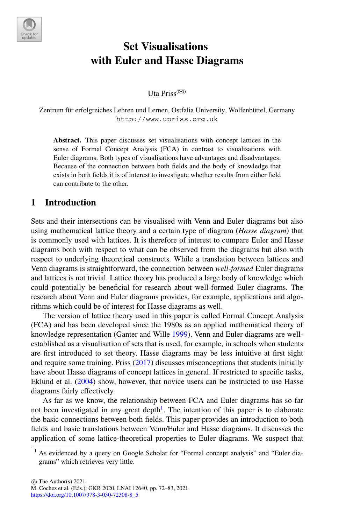

# **Set Visualisations with Euler and Hasse Diagrams**

Uta Priss $(\boxtimes)$ 

Zentrum für erfolgreiches Lehren und Lernen, Ostfalia University, Wolfenbüttel, Germany http://www.upriss.org.uk

**Abstract.** This paper discusses set visualisations with concept lattices in the sense of Formal Concept Analysis (FCA) in contrast to visualisations with Euler diagrams. Both types of visualisations have advantages and disadvantages. Because of the connection between both fields and the body of knowledge that exists in both fields it is of interest to investigate whether results from either field can contribute to the other.

## **1 Introduction**

Sets and their intersections can be visualised with Venn and Euler diagrams but also using mathematical lattice theory and a certain type of diagram (*Hasse diagram*) that is commonly used with lattices. It is therefore of interest to compare Euler and Hasse diagrams both with respect to what can be observed from the diagrams but also with respect to underlying theoretical constructs. While a translation between lattices and Venn diagrams is straightforward, the connection between *well-formed* Euler diagrams and lattices is not trivial. Lattice theory has produced a large body of knowledge which could potentially be beneficial for research about well-formed Euler diagrams. The research about Venn and Euler diagrams provides, for example, applications and algorithms which could be of interest for Hasse diagrams as well.

The version of lattice theory used in this paper is called Formal Concept Analysis (FCA) and has been developed since the 1980s as an applied mathematical theory of knowledge representation (Ganter and Wille [1999\)](#page-11-0). Venn and Euler diagrams are wellestablished as a visualisation of sets that is used, for example, in schools when students are first introduced to set theory. Hasse diagrams may be less intuitive at first sight and require some training. Priss [\(2017\)](#page-11-1) discusses misconceptions that students initially have about Hasse diagrams of concept lattices in general. If restricted to specific tasks, Eklund et al. [\(2004](#page-11-2)) show, however, that novice users can be instructed to use Hasse diagrams fairly effectively.

As far as we know, the relationship between FCA and Euler diagrams has so far not been investigated in any great depth<sup>1</sup>. The intention of this paper is to elaborate the basic connections between both fields. This paper provides an introduction to both fields and basic translations between Venn/Euler and Hasse diagrams. It discusses the application of some lattice-theoretical properties to Euler diagrams. We suspect that

 $\circ$  The Author(s) 2021

<span id="page-0-0"></span><sup>1</sup> As evidenced by a query on Google Scholar for "Formal concept analysis" and "Euler diagrams" which retrieves very little.

M. Cochez et al. (Eds.): GKR 2020, LNAI 12640, pp. 72–83, 2021.

[https://doi.org/10.1007/978-3-030-72308-8\\_5](https://doi.org/10.1007/978-3-030-72308-8_5)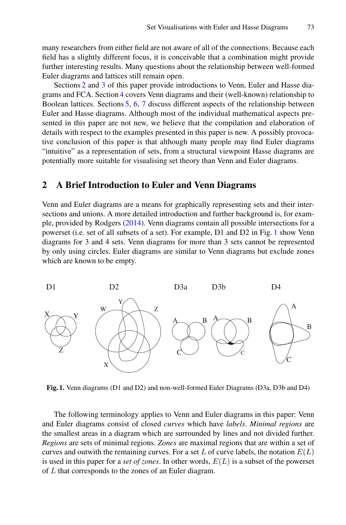many researchers from either field are not aware of all of the connections. Because each field has a slightly different focus, it is conceivable that a combination might provide further interesting results. Many questions about the relationship between well-formed Euler diagrams and lattices still remain open.

Sections [2](#page-1-0) and [3](#page-2-0) of this paper provide introductions to Venn, Euler and Hasse diagrams and FCA. Section [4](#page-4-0) covers Venn diagrams and their (well-known) relationship to Boolean lattices. Sections [5,](#page-5-0) [6,](#page-7-0) [7](#page-9-0) discuss different aspects of the relationship between Euler and Hasse diagrams. Although most of the individual mathematical aspects presented in this paper are not new, we believe that the compilation and elaboration of details with respect to the examples presented in this paper is new. A possibly provocative conclusion of this paper is that although many people may find Euler diagrams "intuitive" as a representation of sets, from a structural viewpoint Hasse diagrams are potentially more suitable for visualising set theory than Venn and Euler diagrams.

#### <span id="page-1-0"></span>**2 A Brief Introduction to Euler and Venn Diagrams**

Venn and Euler diagrams are a means for graphically representing sets and their intersections and unions. A more detailed introduction and further background is, for example, provided by Rodgers [\(2014](#page-11-3)). Venn diagrams contain all possible intersections for a powerset (i.e. set of all subsets of a set). For example, D1 and D2 in Fig. [1](#page-1-1) show Venn diagrams for 3 and 4 sets. Venn diagrams for more than 3 sets cannot be represented by only using circles. Euler diagrams are similar to Venn diagrams but exclude zones which are known to be empty.



<span id="page-1-1"></span>**Fig. 1.** Venn diagrams (D1 and D2) and non-well-formed Euler Diagrams (D3a, D3b and D4)

The following terminology applies to Venn and Euler diagrams in this paper: Venn and Euler diagrams consist of closed *curves* which have *labels*. *Minimal regions* are the smallest areas in a diagram which are surrounded by lines and not divided further. *Regions* are sets of minimal regions. *Zones* are maximal regions that are within a set of curves and outwith the remaining curves. For a set L of curve labels, the notation  $E(L)$ is used in this paper for a *set of zones*. In other words, *E*(*L*) is a subset of the powerset of *L* that corresponds to the zones of an Euler diagram.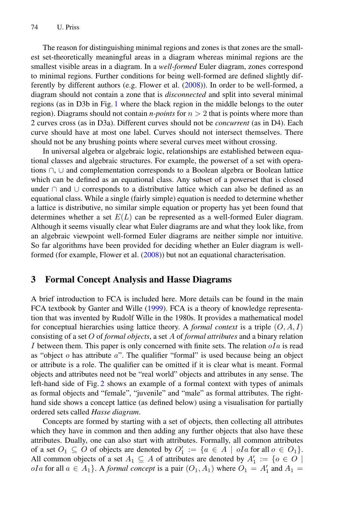The reason for distinguishing minimal regions and zones is that zones are the smallest set-theoretically meaningful areas in a diagram whereas minimal regions are the smallest visible areas in a diagram. In a *well-formed* Euler diagram, zones correspond to minimal regions. Further conditions for being well-formed are defined slightly differently by different authors (e.g. Flower et al. [\(2008\)](#page-11-4)). In order to be well-formed, a diagram should not contain a zone that is *disconnected* and split into several minimal regions (as in D3b in Fig. [1](#page-1-1) where the black region in the middle belongs to the outer region). Diagrams should not contain *n-points* for *n >* 2 that is points where more than 2 curves cross (as in D3a). Different curves should not be *concurrent* (as in D4). Each curve should have at most one label. Curves should not intersect themselves. There should not be any brushing points where several curves meet without crossing.

In universal algebra or algebraic logic, relationships are established between equational classes and algebraic structures. For example, the powerset of a set with operations ∩, ∪ and complementation corresponds to a Boolean algebra or Boolean lattice which can be defined as an equational class. Any subset of a powerset that is closed under ∩ and ∪ corresponds to a distributive lattice which can also be defined as an equational class. While a single (fairly simple) equation is needed to determine whether a lattice is distributive, no similar simple equation or property has yet been found that determines whether a set  $E(L)$  can be represented as a well-formed Euler diagram. Although it seems visually clear what Euler diagrams are and what they look like, from an algebraic viewpoint well-formed Euler diagrams are neither simple nor intuitive. So far algorithms have been provided for deciding whether an Euler diagram is wellformed (for example, Flower et al. [\(2008](#page-11-4))) but not an equational characterisation.

## <span id="page-2-0"></span>**3 Formal Concept Analysis and Hasse Diagrams**

A brief introduction to FCA is included here. More details can be found in the main FCA textbook by Ganter and Wille [\(1999](#page-11-0)). FCA is a theory of knowledge representation that was invented by Rudolf Wille in the 1980s. It provides a mathematical model for conceptual hierarchies using lattice theory. A *formal context* is a triple (*O, A, I*) consisting of a set *O* of *formal objects*, a set *A* of *formal attributes* and a binary relation *I* between them. This paper is only concerned with finite sets. The relation *oIa* is read as "object *o* has attribute *a*". The qualifier "formal" is used because being an object or attribute is a role. The qualifier can be omitted if it is clear what is meant. Formal objects and attributes need not be "real world" objects and attributes in any sense. The left-hand side of Fig. [2](#page-3-0) shows an example of a formal context with types of animals as formal objects and "female", "juvenile" and "male" as formal attributes. The righthand side shows a concept lattice (as defined below) using a visualisation for partially ordered sets called *Hasse diagram*.

Concepts are formed by starting with a set of objects, then collecting all attributes which they have in common and then adding any further objects that also have these attributes. Dually, one can also start with attributes. Formally, all common attributes of a set  $O_1 \subseteq O$  of objects are denoted by  $O'_1 := \{a \in A \mid oIa$  for all  $o \in O_1\}$ . All common objects of a set  $A_1 \subseteq A$  of attributes are denoted by  $A'_1 := \{o \in O \mid$ *oIa* for all  $a \in A_1$ . A *formal concept* is a pair  $(O_1, A_1)$  where  $O_1 = A'_1$  and  $A_1 =$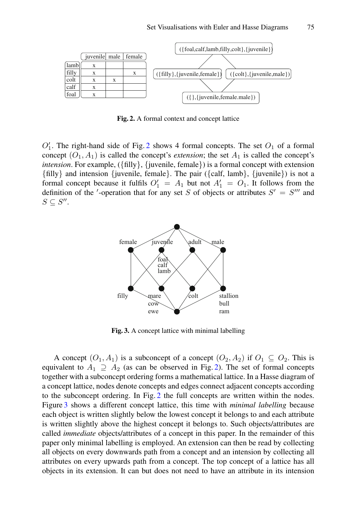

<span id="page-3-0"></span>**Fig. 2.** A formal context and concept lattice

 $O_1'$ . The right-hand side of Fig. [2](#page-3-0) shows 4 formal concepts. The set  $O_1$  of a formal concept  $(O_1, A_1)$  is called the concept's *extension*; the set  $A_1$  is called the concept's *intension*. For example, ({filly}, {juvenile, female}) is a formal concept with extension {filly} and intension {juvenile, female}. The pair ({calf, lamb}, {juvenile}) is not a formal concept because it fulfils  $O'_1 = A_1$  but not  $A'_1 = O_1$ . It follows from the definition of the '-operation that for any set *S* of objects or attributes  $S' = S'''$  and  $S \subseteq S''$ .



<span id="page-3-1"></span>**Fig. 3.** A concept lattice with minimal labelling

A concept  $(O_1, A_1)$  is a subconcept of a concept  $(O_2, A_2)$  if  $O_1 \subseteq O_2$ . This is equivalent to  $A_1 \supseteq A_2$  (as can be observed in Fig. [2\)](#page-3-0). The set of formal concepts together with a subconcept ordering forms a mathematical lattice. In a Hasse diagram of a concept lattice, nodes denote concepts and edges connect adjacent concepts according to the subconcept ordering. In Fig. [2](#page-3-0) the full concepts are written within the nodes. Figure [3](#page-3-1) shows a different concept lattice, this time with *minimal labelling* because each object is written slightly below the lowest concept it belongs to and each attribute is written slightly above the highest concept it belongs to. Such objects/attributes are called *immediate* objects/attributes of a concept in this paper. In the remainder of this paper only minimal labelling is employed. An extension can then be read by collecting all objects on every downwards path from a concept and an intension by collecting all attributes on every upwards path from a concept. The top concept of a lattice has all objects in its extension. It can but does not need to have an attribute in its intension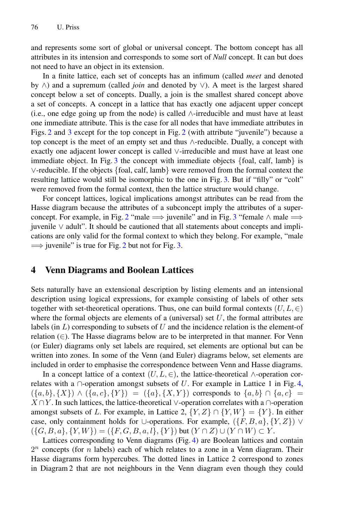and represents some sort of global or universal concept. The bottom concept has all attributes in its intension and corresponds to some sort of *Null* concept. It can but does not need to have an object in its extension.

In a finite lattice, each set of concepts has an infimum (called *meet* and denoted by ∧) and a supremum (called *join* and denoted by ∨). A meet is the largest shared concept below a set of concepts. Dually, a join is the smallest shared concept above a set of concepts. A concept in a lattice that has exactly one adjacent upper concept (i.e., one edge going up from the node) is called ∧-irreducible and must have at least one immediate attribute. This is the case for all nodes that have immediate attributes in Figs. [2](#page-3-0) and [3](#page-3-1) except for the top concept in Fig. [2](#page-3-0) (with attribute "juvenile") because a top concept is the meet of an empty set and thus ∧-reducible. Dually, a concept with exactly one adjacent lower concept is called ∨-irreducible and must have at least one immediate object. In Fig. [3](#page-3-1) the concept with immediate objects {foal, calf, lamb} is ∨-reducible. If the objects {foal, calf, lamb} were removed from the formal context the resulting lattice would still be isomorphic to the one in Fig. [3.](#page-3-1) But if "filly" or "colt" were removed from the formal context, then the lattice structure would change.

For concept lattices, logical implications amongst attributes can be read from the Hasse diagram because the attributes of a subconcept imply the attributes of a super-concept. For example, in Fig. [2](#page-3-0) "male  $\implies$  juvenile" and in Fig. [3](#page-3-1) "female  $\land$  male  $\implies$ juvenile ∨ adult". It should be cautioned that all statements about concepts and implications are only valid for the formal context to which they belong. For example, "male  $\implies$  juvenile" is true for Fig. [2](#page-3-0) but not for Fig. [3.](#page-3-1)

## <span id="page-4-0"></span>**4 Venn Diagrams and Boolean Lattices**

Sets naturally have an extensional description by listing elements and an intensional description using logical expressions, for example consisting of labels of other sets together with set-theoretical operations. Thus, one can build formal contexts  $(U, L, \in)$ where the formal objects are elements of a (universal) set  $U$ , the formal attributes are labels (in *L*) corresponding to subsets of *U* and the incidence relation is the element-of relation (∈). The Hasse diagrams below are to be interpreted in that manner. For Venn (or Euler) diagrams only set labels are required, set elements are optional but can be written into zones. In some of the Venn (and Euler) diagrams below, set elements are included in order to emphasise the correspondence between Venn and Hasse diagrams.

In a concept lattice of a context  $(U, L, \in)$ , the lattice-theoretical ∧-operation correlates with a  $\cap$ -operation amongst subsets of *U*. For example in Lattice 1 in Fig. [4,](#page-5-1)  $(\{a, b\}, \{X\}) \wedge (\{a, c\}, \{Y\}) = (\{a\}, \{X, Y\})$  corresponds to  $\{a, b\} \cap \{a, c\}$ *X* ∩*Y*. In such lattices, the lattice-theoretical ∨-operation correlates with a ∩-operation amongst subsets of *L*. For example, in Lattice 2,  $\{Y, Z\} \cap \{Y, W\} = \{Y\}$ . In either case, only containment holds for ∪-operations. For example,  $({F, B, a}, {Y, Z})$   $\vee$  $(\{G, B, a\}, \{Y, W\}) = (\{F, G, B, a, l\}, \{Y\})$  but  $(Y \cap Z) \cup (Y \cap W) \subset Y$ .

Lattices corresponding to Venn diagrams (Fig. [4\)](#page-5-1) are Boolean lattices and contain 2*<sup>n</sup>* concepts (for *n* labels) each of which relates to a zone in a Venn diagram. Their Hasse diagrams form hypercubes. The dotted lines in Lattice 2 correspond to zones in Diagram 2 that are not neighbours in the Venn diagram even though they could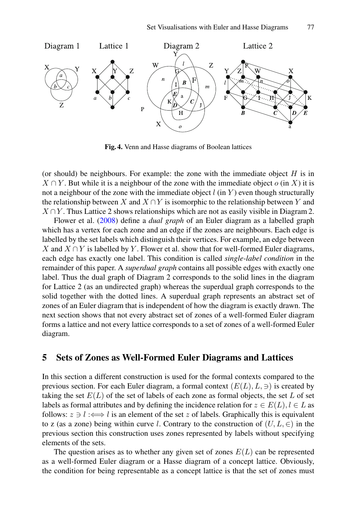

<span id="page-5-1"></span>**Fig. 4.** Venn and Hasse diagrams of Boolean lattices

(or should) be neighbours. For example: the zone with the immediate object *H* is in  $X \cap Y$ . But while it is a neighbour of the zone with the immediate object *o* (in *X*) it is not a neighbour of the zone with the immediate object  $l$  (in  $Y$ ) even though structurally the relationship between *X* and  $X \cap Y$  is isomorphic to the relationship between *Y* and  $X \cap Y$ . Thus Lattice 2 shows relationships which are not as easily visible in Diagram 2.

Flower et al. [\(2008\)](#page-11-4) define a *dual graph* of an Euler diagram as a labelled graph which has a vertex for each zone and an edge if the zones are neighbours. Each edge is labelled by the set labels which distinguish their vertices. For example, an edge between *X* and *X* ∩*Y* is labelled by *Y*. Flower et al. show that for well-formed Euler diagrams, each edge has exactly one label. This condition is called *single-label condition* in the remainder of this paper. A *superdual graph* contains all possible edges with exactly one label. Thus the dual graph of Diagram 2 corresponds to the solid lines in the diagram for Lattice 2 (as an undirected graph) whereas the superdual graph corresponds to the solid together with the dotted lines. A superdual graph represents an abstract set of zones of an Euler diagram that is independent of how the diagram is exactly drawn. The next section shows that not every abstract set of zones of a well-formed Euler diagram forms a lattice and not every lattice corresponds to a set of zones of a well-formed Euler diagram.

## <span id="page-5-0"></span>**5 Sets of Zones as Well-Formed Euler Diagrams and Lattices**

In this section a different construction is used for the formal contexts compared to the previous section. For each Euler diagram, a formal context  $(E(L), L, \ni)$  is created by taking the set  $E(L)$  of the set of labels of each zone as formal objects, the set  $L$  of set labels as formal attributes and by defining the incidence relation for  $z \in E(L)$ ,  $l \in L$  as follows:  $z \ni l \iff l$  is an element of the set *z* of labels. Graphically this is equivalent to z (as a zone) being within curve *l*. Contrary to the construction of  $(U, L, \in)$  in the previous section this construction uses zones represented by labels without specifying elements of the sets.

The question arises as to whether any given set of zones  $E(L)$  can be represented as a well-formed Euler diagram or a Hasse diagram of a concept lattice. Obviously, the condition for being representable as a concept lattice is that the set of zones must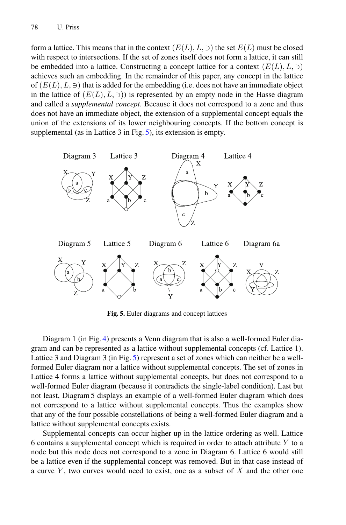form a lattice. This means that in the context  $(E(L), L, \ni)$  the set  $E(L)$  must be closed with respect to intersections. If the set of zones itself does not form a lattice, it can still be embedded into a lattice. Constructing a concept lattice for a context  $(E(L), L, \ni)$ achieves such an embedding. In the remainder of this paper, any concept in the lattice of  $(E(L), L, \ni)$  that is added for the embedding (i.e. does not have an immediate object in the lattice of  $(E(L), L, \ni)$ ) is represented by an empty node in the Hasse diagram and called a *supplemental concept*. Because it does not correspond to a zone and thus does not have an immediate object, the extension of a supplemental concept equals the union of the extensions of its lower neighbouring concepts. If the bottom concept is supplemental (as in Lattice 3 in Fig. [5\)](#page-6-0), its extension is empty.



<span id="page-6-0"></span>**Fig. 5.** Euler diagrams and concept lattices

Diagram 1 (in Fig. [4\)](#page-5-1) presents a Venn diagram that is also a well-formed Euler diagram and can be represented as a lattice without supplemental concepts (cf. Lattice 1). Lattice 3 and Diagram 3 (in Fig. [5\)](#page-6-0) represent a set of zones which can neither be a wellformed Euler diagram nor a lattice without supplemental concepts. The set of zones in Lattice 4 forms a lattice without supplemental concepts, but does not correspond to a well-formed Euler diagram (because it contradicts the single-label condition). Last but not least, Diagram 5 displays an example of a well-formed Euler diagram which does not correspond to a lattice without supplemental concepts. Thus the examples show that any of the four possible constellations of being a well-formed Euler diagram and a lattice without supplemental concepts exists.

Supplemental concepts can occur higher up in the lattice ordering as well. Lattice 6 contains a supplemental concept which is required in order to attach attribute *Y* to a node but this node does not correspond to a zone in Diagram 6. Lattice 6 would still be a lattice even if the supplemental concept was removed. But in that case instead of a curve *Y* , two curves would need to exist, one as a subset of *X* and the other one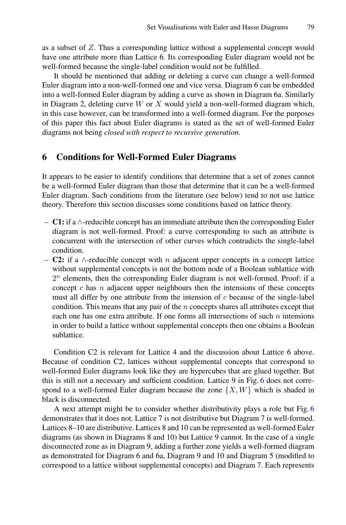as a subset of *Z*. Thus a corresponding lattice without a supplemental concept would have one attribute more than Lattice 6. Its corresponding Euler diagram would not be well-formed because the single-label condition would not be fulfilled.

It should be mentioned that adding or deleting a curve can change a well-formed Euler diagram into a non-well-formed one and vice versa. Diagram 6 can be embedded into a well-formed Euler diagram by adding a curve as shown in Diagram 6a. Similarly in Diagram 2, deleting curve *W* or *X* would yield a non-well-formed diagram which, in this case however, can be transformed into a well-formed diagram. For the purposes of this paper this fact about Euler diagrams is stated as the set of well-formed Euler diagrams not being *closed with respect to recursive generation*.

#### <span id="page-7-0"></span>**6 Conditions for Well-Formed Euler Diagrams**

It appears to be easier to identify conditions that determine that a set of zones cannot be a well-formed Euler diagram than those that determine that it can be a well-formed Euler diagram. Such conditions from the literature (see below) tend to not use lattice theory. Therefore this section discusses some conditions based on lattice theory.

- **C1:** if a ∧-reducible concept has an immediate attribute then the corresponding Euler diagram is not well-formed. Proof: a curve corresponding to such an attribute is concurrent with the intersection of other curves which contradicts the single-label condition.
- **C2:** if a ∧-reducible concept with *n* adjacent upper concepts in a concept lattice without supplemental concepts is not the bottom node of a Boolean sublattice with  $2<sup>n</sup>$  elements, then the corresponding Euler diagram is not well-formed. Proof: if a concept *c* has *n* adjacent upper neighbours then the intensions of these concepts must all differ by one attribute from the intension of *c* because of the single-label condition. This means that any pair of the *n* concepts shares all attributes except that each one has one extra attribute. If one forms all intersections of such *n* intensions in order to build a lattice without supplemental concepts then one obtains a Boolean sublattice.

Condition C2 is relevant for Lattice 4 and the discussion about Lattice 6 above. Because of condition C2, lattices without supplemental concepts that correspond to well-formed Euler diagrams look like they are hypercubes that are glued together. But this is still not a necessary and sufficient condition. Lattice 9 in Fig. [6](#page-8-0) does not correspond to a well-formed Euler diagram because the zone  $\{X, W\}$  which is shaded in black is disconnected.

A next attempt might be to consider whether distributivity plays a role but Fig. [6](#page-8-0) demonstrates that it does not. Lattice 7 is not distributive but Diagram 7 is well-formed. Lattices 8–10 are distributive. Lattices 8 and 10 can be represented as well-formed Euler diagrams (as shown in Diagrams 8 and 10) but Lattice 9 cannot. In the case of a single disconnected zone as in Diagram 9, adding a further zone yields a well-formed diagram as demonstrated for Diagram 6 and 6a, Diagram 9 and 10 and Diagram 5 (modified to correspond to a lattice without supplemental concepts) and Diagram 7. Each represents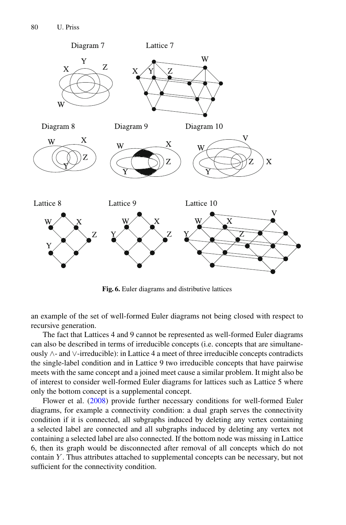

<span id="page-8-0"></span>**Fig. 6.** Euler diagrams and distributive lattices

an example of the set of well-formed Euler diagrams not being closed with respect to recursive generation.

The fact that Lattices 4 and 9 cannot be represented as well-formed Euler diagrams can also be described in terms of irreducible concepts (i.e. concepts that are simultaneously ∧- and ∨-irreducible): in Lattice 4 a meet of three irreducible concepts contradicts the single-label condition and in Lattice 9 two irreducible concepts that have pairwise meets with the same concept and a joined meet cause a similar problem. It might also be of interest to consider well-formed Euler diagrams for lattices such as Lattice 5 where only the bottom concept is a supplemental concept.

Flower et al. [\(2008](#page-11-4)) provide further necessary conditions for well-formed Euler diagrams, for example a connectivity condition: a dual graph serves the connectivity condition if it is connected, all subgraphs induced by deleting any vertex containing a selected label are connected and all subgraphs induced by deleting any vertex not containing a selected label are also connected. If the bottom node was missing in Lattice 6, then its graph would be disconnected after removal of all concepts which do not contain *Y* . Thus attributes attached to supplemental concepts can be necessary, but not sufficient for the connectivity condition.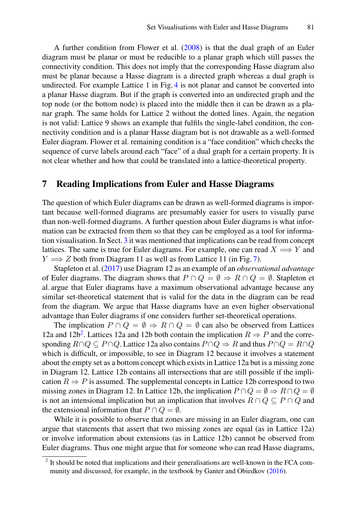A further condition from Flower et al. [\(2008\)](#page-11-4) is that the dual graph of an Euler diagram must be planar or must be reducible to a planar graph which still passes the connectivity condition. This does not imply that the corresponding Hasse diagram also must be planar because a Hasse diagram is a directed graph whereas a dual graph is undirected. For example Lattice 1 in Fig. [4](#page-5-1) is not planar and cannot be converted into a planar Hasse diagram. But if the graph is converted into an undirected graph and the top node (or the bottom node) is placed into the middle then it can be drawn as a planar graph. The same holds for Lattice 2 without the dotted lines. Again, the negation is not valid: Lattice 9 shows an example that fulfils the single-label condition, the connectivity condition and is a planar Hasse diagram but is not drawable as a well-formed Euler diagram. Flower et al. remaining condition is a "face condition" which checks the sequence of curve labels around each "face" of a dual graph for a certain property. It is not clear whether and how that could be translated into a lattice-theoretical property.

#### <span id="page-9-0"></span>**7 Reading Implications from Euler and Hasse Diagrams**

The question of which Euler diagrams can be drawn as well-formed diagrams is important because well-formed diagrams are presumably easier for users to visually parse than non-well-formed diagrams. A further question about Euler diagrams is what information can be extracted from them so that they can be employed as a tool for information visualisation. In Sect. [3](#page-2-0) it was mentioned that implications can be read from concept lattices. The same is true for Euler diagrams. For example, one can read  $X \Longrightarrow Y$  and *Y*  $\implies$  *Z* both from Diagram 11 as well as from Lattice 11 (in Fig. [7\)](#page-10-0).

Stapleton et al. [\(2017](#page-11-5)) use Diagram 12 as an example of an *observational advantage* of Euler diagrams. The diagram shows that  $P \cap Q = \emptyset \Rightarrow R \cap Q = \emptyset$ . Stapleton et al. argue that Euler diagrams have a maximum observational advantage because any similar set-theoretical statement that is valid for the data in the diagram can be read from the diagram. We argue that Hasse diagrams have an even higher observational advantage than Euler diagrams if one considers further set-theoretical operations.

The implication  $P \cap Q = \emptyset \Rightarrow R \cap Q = \emptyset$  can also be observed from Lattices 12a and 12b<sup>2</sup>. Lattices 12a and 12b both contain the implication  $R \Rightarrow P$  and the corresponding  $R \cap Q \subseteq P \cap Q$ . Lattice 12a also contains  $P \cap Q \Rightarrow R$  and thus  $P \cap Q = R \cap Q$ which is difficult, or impossible, to see in Diagram 12 because it involves a statement about the empty set as a bottom concept which exists in Lattice 12a but is a missing zone in Diagram 12. Lattice 12b contains all intersections that are still possible if the implication  $R \Rightarrow P$  is assumed. The supplemental concepts in Lattice 12b correspond to two missing zones in Diagram 12. In Lattice 12b, the implication  $P \cap Q = \emptyset \Rightarrow R \cap Q = \emptyset$ is not an intensional implication but an implication that involves  $R \cap Q \subseteq P \cap Q$  and the extensional information that  $P \cap Q = \emptyset$ .

While it is possible to observe that zones are missing in an Euler diagram, one can argue that statements that assert that two missing zones are equal (as in Lattice 12a) or involve information about extensions (as in Lattice 12b) cannot be observed from Euler diagrams. Thus one might argue that for someone who can read Hasse diagrams,

<span id="page-9-1"></span><sup>2</sup> It should be noted that implications and their generalisations are well-known in the FCA community and discussed, for example, in the textbook by Ganter and Obiedkov [\(2016\)](#page-11-6).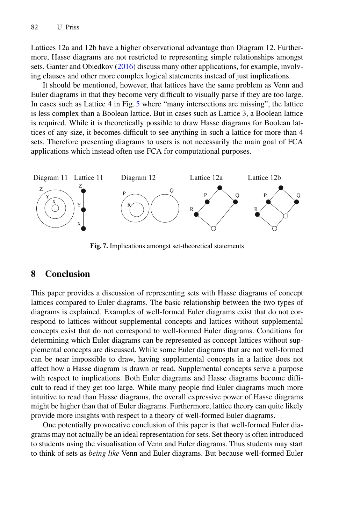Lattices 12a and 12b have a higher observational advantage than Diagram 12. Furthermore, Hasse diagrams are not restricted to representing simple relationships amongst sets. Ganter and Obiedkov [\(2016](#page-11-6)) discuss many other applications, for example, involving clauses and other more complex logical statements instead of just implications.

It should be mentioned, however, that lattices have the same problem as Venn and Euler diagrams in that they become very difficult to visually parse if they are too large. In cases such as Lattice 4 in Fig. [5](#page-6-0) where "many intersections are missing", the lattice is less complex than a Boolean lattice. But in cases such as Lattice 3, a Boolean lattice is required. While it is theoretically possible to draw Hasse diagrams for Boolean lattices of any size, it becomes difficult to see anything in such a lattice for more than 4 sets. Therefore presenting diagrams to users is not necessarily the main goal of FCA applications which instead often use FCA for computational purposes.



<span id="page-10-0"></span>**Fig. 7.** Implications amongst set-theoretical statements

## **8 Conclusion**

This paper provides a discussion of representing sets with Hasse diagrams of concept lattices compared to Euler diagrams. The basic relationship between the two types of diagrams is explained. Examples of well-formed Euler diagrams exist that do not correspond to lattices without supplemental concepts and lattices without supplemental concepts exist that do not correspond to well-formed Euler diagrams. Conditions for determining which Euler diagrams can be represented as concept lattices without supplemental concepts are discussed. While some Euler diagrams that are not well-formed can be near impossible to draw, having supplemental concepts in a lattice does not affect how a Hasse diagram is drawn or read. Supplemental concepts serve a purpose with respect to implications. Both Euler diagrams and Hasse diagrams become difficult to read if they get too large. While many people find Euler diagrams much more intuitive to read than Hasse diagrams, the overall expressive power of Hasse diagrams might be higher than that of Euler diagrams. Furthermore, lattice theory can quite likely provide more insights with respect to a theory of well-formed Euler diagrams.

One potentially provocative conclusion of this paper is that well-formed Euler diagrams may not actually be an ideal representation for sets. Set theory is often introduced to students using the visualisation of Venn and Euler diagrams. Thus students may start to think of sets as *being like* Venn and Euler diagrams. But because well-formed Euler